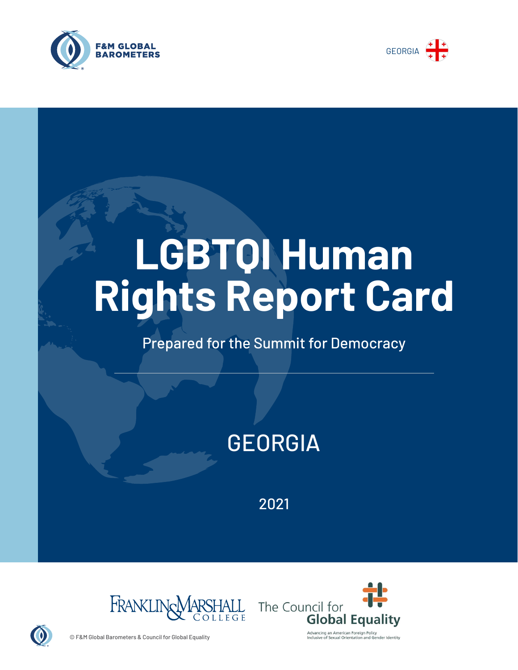



# **LGBTQI Human Rights Report Card**

## Prepared for the Summit for Democracy

# GEORGIA

2021





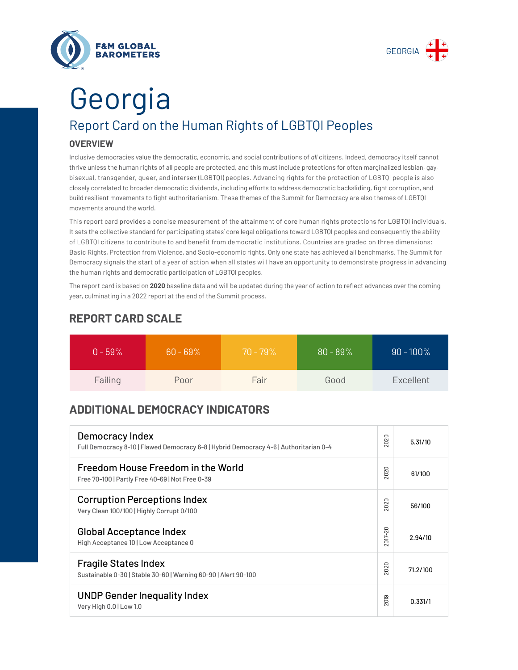



# Report Card on the Human Rights of LGBTQI Peoples Georgia

#### **OVERVIEW**

Inclusive democracies value the democratic, economic, and social contributions of *all* citizens. Indeed, democracy itself cannot thrive unless the human rights of all people are protected, and this must include protections for often marginalized lesbian, gay, bisexual, transgender, queer, and intersex (LGBTQI) peoples. Advancing rights for the protection of LGBTQI people is also closely correlated to broader democratic dividends, including efforts to address democratic backsliding, fight corruption, and build resilient movements to fight authoritarianism. These themes of the Summit for Democracy are also themes of LGBTQI movements around the world.

This report card provides a concise measurement of the attainment of core human rights protections for LGBTQI individuals. It sets the collective standard for participating states' core legal obligations toward LGBTQI peoples and consequently the ability of LGBTQI citizens to contribute to and benefit from democratic institutions. Countries are graded on three dimensions: Basic Rights, Protection from Violence, and Socio-economic rights. Only one state has achieved all benchmarks. The Summit for Democracy signals the start of a year of action when all states will have an opportunity to demonstrate progress in advancing the human rights and democratic participation of LGBTQI peoples.

The report card is based on **2020** baseline data and will be updated during the year of action to reflect advances over the coming year, culminating in a 2022 report at the end of the Summit process.

| $0 - 59\%$ | $60 - 69\%$ | $70 - 79\%$ | $80 - 89%$ | $90 - 100\%$ |
|------------|-------------|-------------|------------|--------------|
| Failing    | Poor        | Fair        | Good       | Excellent    |

### **REPORT CARD SCALE**

### **ADDITIONAL DEMOCRACY INDICATORS**

| Democracy Index<br>Full Democracy 8-10   Flawed Democracy 6-8   Hybrid Democracy 4-6   Authoritarian 0-4 | 2020                | 5.31/10  |
|----------------------------------------------------------------------------------------------------------|---------------------|----------|
| Freedom House Freedom in the World<br>Free 70-100   Partly Free 40-69   Not Free 0-39                    | 2020                | 61/100   |
| <b>Corruption Perceptions Index</b><br>Very Clean 100/100   Highly Corrupt 0/100                         | 020<br>$\sim$       | 56/100   |
| <b>Global Acceptance Index</b><br>High Acceptance 10   Low Acceptance 0                                  | 2017-20             | 2.94/10  |
| <b>Fragile States Index</b><br>Sustainable 0-30   Stable 30-60   Warning 60-90   Alert 90-100            | 020<br>$\bar{\sim}$ | 71.2/100 |
| <b>UNDP Gender Inequality Index</b><br>Very High 0.0   Low 1.0                                           | 2019                | 0.331/1  |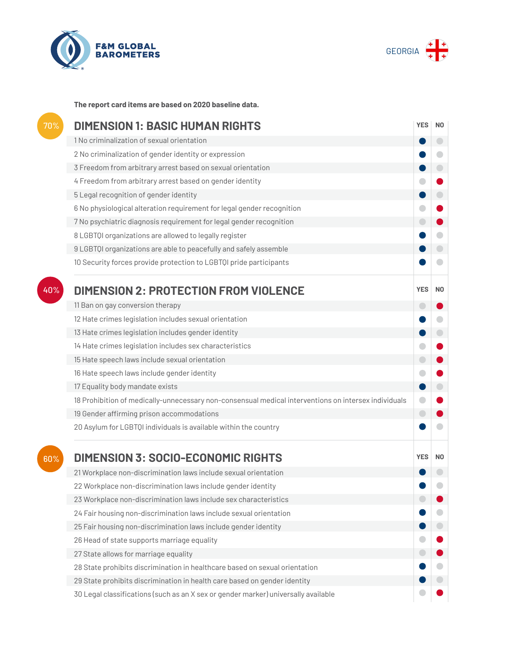



**The report card items are based on 2020 baseline data.**

| $\overline{70\%}$ | <b>DIMENSION 1: BASIC HUMAN RIGHTS</b>                                                               |                |                          |
|-------------------|------------------------------------------------------------------------------------------------------|----------------|--------------------------|
|                   | 1 No criminalization of sexual orientation                                                           |                | $\overline{\phantom{0}}$ |
|                   | 2 No criminalization of gender identity or expression                                                |                |                          |
|                   | 3 Freedom from arbitrary arrest based on sexual orientation                                          |                |                          |
|                   | 4 Freedom from arbitrary arrest based on gender identity                                             |                |                          |
|                   | 5 Legal recognition of gender identity                                                               |                |                          |
|                   | 6 No physiological alteration requirement for legal gender recognition                               | a              |                          |
|                   | 7 No psychiatric diagnosis requirement for legal gender recognition                                  |                |                          |
|                   | 8 LGBTQI organizations are allowed to legally register                                               |                |                          |
|                   | 9 LGBTQI organizations are able to peacefully and safely assemble                                    |                |                          |
|                   | 10 Security forces provide protection to LGBTQI pride participants                                   |                |                          |
| 40%               | <b>DIMENSION 2: PROTECTION FROM VIOLENCE</b>                                                         | <b>YES</b>     | N <sub>0</sub>           |
|                   | 11 Ban on gay conversion therapy                                                                     | o              |                          |
|                   | 12 Hate crimes legislation includes sexual orientation                                               |                |                          |
|                   | 13 Hate crimes legislation includes gender identity                                                  |                | $\bigcirc$               |
|                   | 14 Hate crimes legislation includes sex characteristics                                              |                |                          |
|                   | 15 Hate speech laws include sexual orientation                                                       | $\blacksquare$ |                          |
|                   | 16 Hate speech laws include gender identity                                                          |                |                          |
|                   | 17 Equality body mandate exists                                                                      |                |                          |
|                   | 18 Prohibition of medically-unnecessary non-consensual medical interventions on intersex individuals |                |                          |
|                   | 19 Gender affirming prison accommodations                                                            | $\bigcirc$     |                          |
|                   | 20 Asylum for LGBTQI individuals is available within the country                                     |                |                          |
| 60%               | <b>DIMENSION 3: SOCIO-ECONOMIC RIGHTS</b>                                                            | <b>YES</b>     | N <sub>0</sub>           |
|                   | 21 Workplace non-discrimination laws include sexual orientation                                      |                |                          |
|                   | 22 Workplace non-discrimination laws include gender identity                                         |                |                          |
|                   | 23 Workplace non-discrimination laws include sex characteristics                                     |                |                          |
|                   | 24 Fair housing non-discrimination laws include sexual orientation                                   |                |                          |
|                   | 25 Fair housing non-discrimination laws include gender identity                                      |                |                          |
|                   | 26 Head of state supports marriage equality                                                          |                |                          |
|                   | 27 State allows for marriage equality                                                                |                |                          |
|                   | 28 State prohibits discrimination in healthcare based on sexual orientation                          |                |                          |
|                   | 29 State prohibits discrimination in health care based on gender identity                            |                |                          |
|                   | 30 Legal classifications (such as an X sex or gender marker) universally available                   |                |                          |